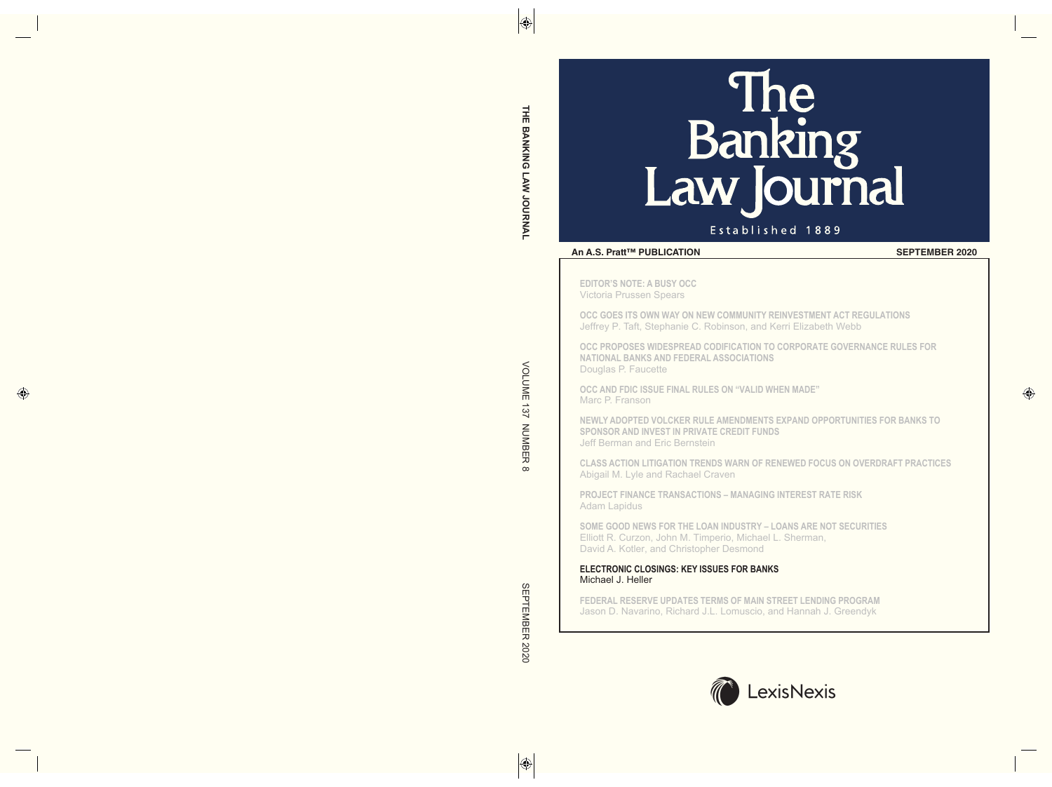# Banking <u>Tro</u><br>urnal Law k

## Established 1889

## **An A.S. Pratt™ PUBLICATION SEPTEMBER 2020**

**EDITOR'S NOTE: A BUSY OCC** Victoria Prussen Spears

**OCC GOES ITS OWN WAY ON NEW COMMUNITY REINVESTMENT ACT REGULATIONS** Jeffrey P. Taft, Stephanie C. Robinson, and Kerri Elizabeth Webb

**OCC PROPOSES WIDESPREAD CODIFICATION TO CORPORATE GOVERNANCE RULES FOR NATIONAL BANKS AND FEDERAL ASSOCIATIONS** Douglas P. Faucette

**OCC AND FDIC ISSUE FINAL RULES ON "VALID WhEN MADE"** Marc P. Franson

**NEWLY ADOPTED VOLCKER RULE AMENDMENTS EXPAND OPPORTUNITIES FOR BANKS TO SPONSOR AND INVEST IN PRIVATE CREDIT FUNDS** Jeff Berman and Eric Bernstein

**CLASS ACTION LITIGATION TRENDS WARN OF RENEWED FOCUS ON OVERDRAFT PRACTICES** Abigail M. Lyle and Rachael Craven

**PROJECT FINANCE TRANSACTIONS – MANAGING INTEREST RATE RISK** Adam Lapidus

**SOME GOOD NEWS FOR ThE LOAN INDUSTRY – LOANS ARE NOT SECURITIES** Elliott R. Curzon, John M. Timperio, Michael L. Sherman, David A. Kotler, and Christopher Desmond

## **ELECTRONIC CLOSINGS: KEY ISSUES FOR BANKS** Michael J. Heller

**FEDERAL RESERVE UPDATES TERMS OF MAIN STREET LENDING PROGRAM** Jason D. Navarino, Richard J.L. Lomuscio, and Hannah J. Greendyk

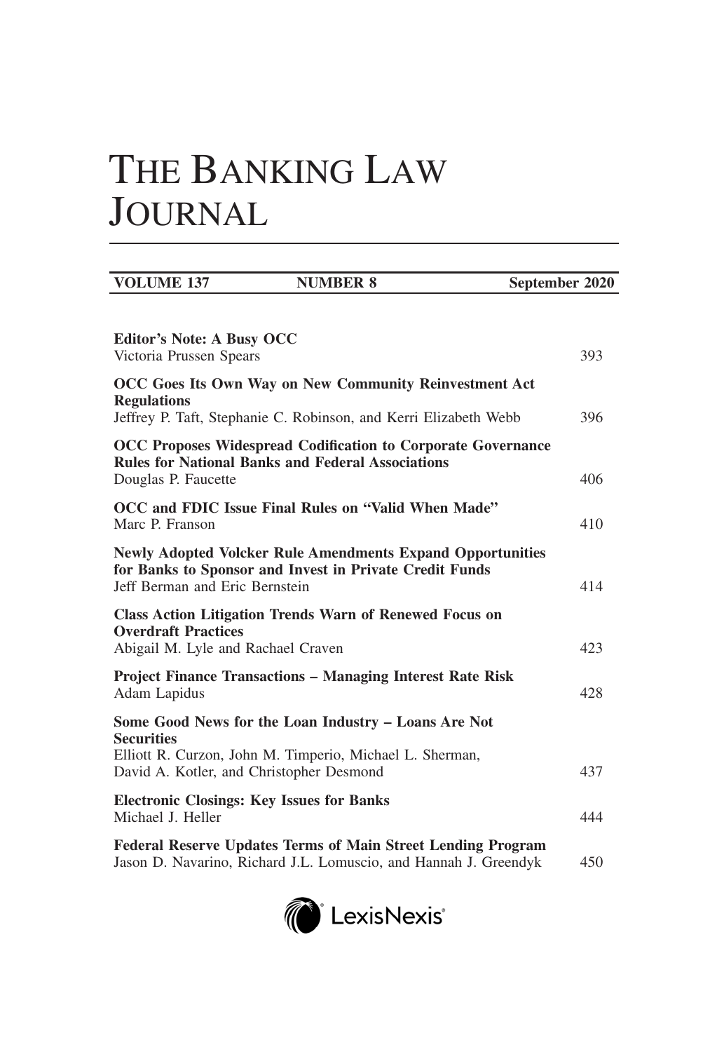# THE BANKING LAW JOURNAL

| <b>VOLUME 137</b>                                                     | <b>NUMBER 8</b>                                                                                                                         | September 2020 |     |
|-----------------------------------------------------------------------|-----------------------------------------------------------------------------------------------------------------------------------------|----------------|-----|
| <b>Editor's Note: A Busy OCC</b>                                      |                                                                                                                                         |                |     |
| Victoria Prussen Spears                                               |                                                                                                                                         |                | 393 |
| <b>Regulations</b>                                                    | OCC Goes Its Own Way on New Community Reinvestment Act<br>Jeffrey P. Taft, Stephanie C. Robinson, and Kerri Elizabeth Webb              |                | 396 |
|                                                                       | <b>OCC Proposes Widespread Codification to Corporate Governance</b><br><b>Rules for National Banks and Federal Associations</b>         |                |     |
| Douglas P. Faucette                                                   |                                                                                                                                         |                | 406 |
| Marc P. Franson                                                       | OCC and FDIC Issue Final Rules on "Valid When Made"                                                                                     |                | 410 |
| Jeff Berman and Eric Bernstein                                        | <b>Newly Adopted Volcker Rule Amendments Expand Opportunities</b><br>for Banks to Sponsor and Invest in Private Credit Funds            |                | 414 |
| <b>Overdraft Practices</b><br>Abigail M. Lyle and Rachael Craven      | <b>Class Action Litigation Trends Warn of Renewed Focus on</b>                                                                          |                | 423 |
| Adam Lapidus                                                          | <b>Project Finance Transactions - Managing Interest Rate Risk</b>                                                                       |                | 428 |
| <b>Securities</b>                                                     | Some Good News for the Loan Industry - Loans Are Not                                                                                    |                |     |
| David A. Kotler, and Christopher Desmond                              | Elliott R. Curzon, John M. Timperio, Michael L. Sherman,                                                                                |                | 437 |
| <b>Electronic Closings: Key Issues for Banks</b><br>Michael J. Heller |                                                                                                                                         |                | 444 |
|                                                                       | <b>Federal Reserve Updates Terms of Main Street Lending Program</b><br>Jason D. Navarino, Richard J.L. Lomuscio, and Hannah J. Greendyk |                | 450 |

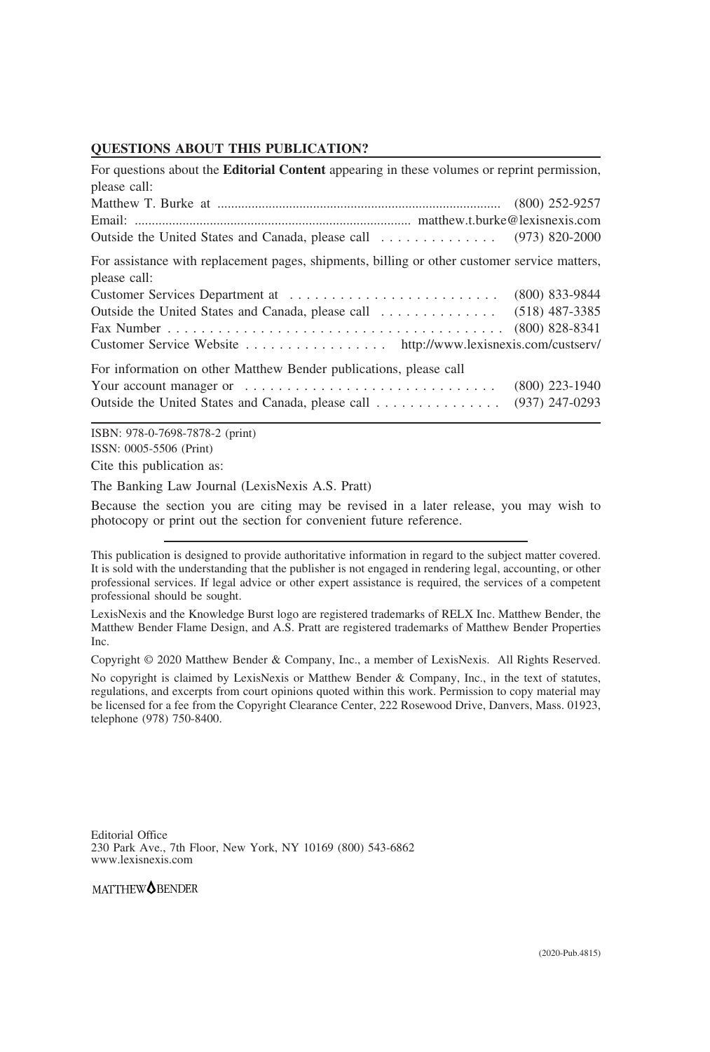## **QUESTIONS ABOUT THIS PUBLICATION?**

| For questions about the <b>Editorial Content</b> appearing in these volumes or reprint permission, |  |  |  |
|----------------------------------------------------------------------------------------------------|--|--|--|
|                                                                                                    |  |  |  |
|                                                                                                    |  |  |  |
|                                                                                                    |  |  |  |
| For assistance with replacement pages, shipments, billing or other customer service matters,       |  |  |  |
| $(800)$ 833-9844                                                                                   |  |  |  |
| $(518)$ 487-3385<br>Outside the United States and Canada, please call                              |  |  |  |
| $(800)$ 828-8341                                                                                   |  |  |  |
| Customer Service Website http://www.lexisnexis.com/custserv/                                       |  |  |  |
|                                                                                                    |  |  |  |
| $(800)$ 223-1940                                                                                   |  |  |  |
| $(937)$ 247-0293                                                                                   |  |  |  |
|                                                                                                    |  |  |  |

ISBN: 978-0-7698-7878-2 (print) ISSN: 0005-5506 (Print) Cite this publication as:

The Banking Law Journal (LexisNexis A.S. Pratt)

Because the section you are citing may be revised in a later release, you may wish to photocopy or print out the section for convenient future reference.

This publication is designed to provide authoritative information in regard to the subject matter covered. It is sold with the understanding that the publisher is not engaged in rendering legal, accounting, or other professional services. If legal advice or other expert assistance is required, the services of a competent professional should be sought.

LexisNexis and the Knowledge Burst logo are registered trademarks of RELX Inc. Matthew Bender, the Matthew Bender Flame Design, and A.S. Pratt are registered trademarks of Matthew Bender Properties Inc.

Copyright © 2020 Matthew Bender & Company, Inc., a member of LexisNexis. All Rights Reserved.

No copyright is claimed by LexisNexis or Matthew Bender & Company, Inc., in the text of statutes, regulations, and excerpts from court opinions quoted within this work. Permission to copy material may be licensed for a fee from the Copyright Clearance Center, 222 Rosewood Drive, Danvers, Mass. 01923, telephone (978) 750-8400.

Editorial Office 230 Park Ave., 7th Floor, New York, NY 10169 (800) 543-6862 www.lexisnexis.com

MATTHEW**OBENDER**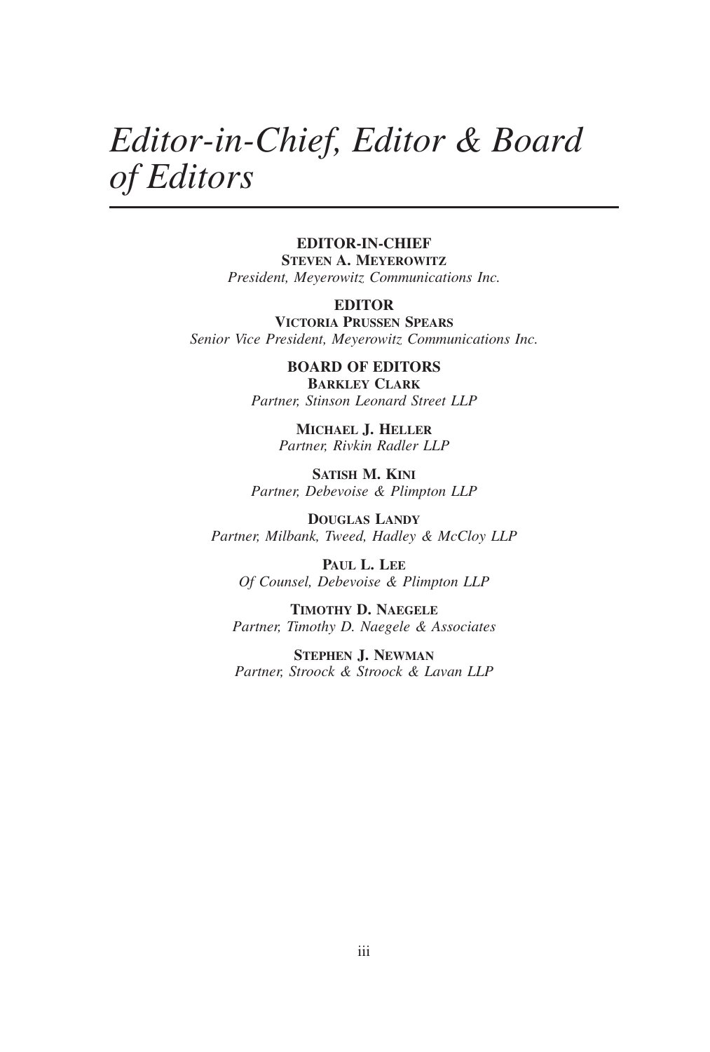## *Editor-in-Chief, Editor & Board of Editors*

## **EDITOR-IN-CHIEF**

**STEVEN A. MEYEROWITZ** *President, Meyerowitz Communications Inc.*

## **EDITOR**

**VICTORIA PRUSSEN SPEARS** *Senior Vice President, Meyerowitz Communications Inc.*

> **BOARD OF EDITORS BARKLEY CLARK** *Partner, Stinson Leonard Street LLP*

> > **MICHAEL J. HELLER** *Partner, Rivkin Radler LLP*

**SATISH M. KINI** *Partner, Debevoise & Plimpton LLP*

**DOUGLAS LANDY** *Partner, Milbank, Tweed, Hadley & McCloy LLP*

**PAUL L. LEE** *Of Counsel, Debevoise & Plimpton LLP*

**TIMOTHY D. NAEGELE** *Partner, Timothy D. Naegele & Associates*

**STEPHEN J. NEWMAN** *Partner, Stroock & Stroock & Lavan LLP*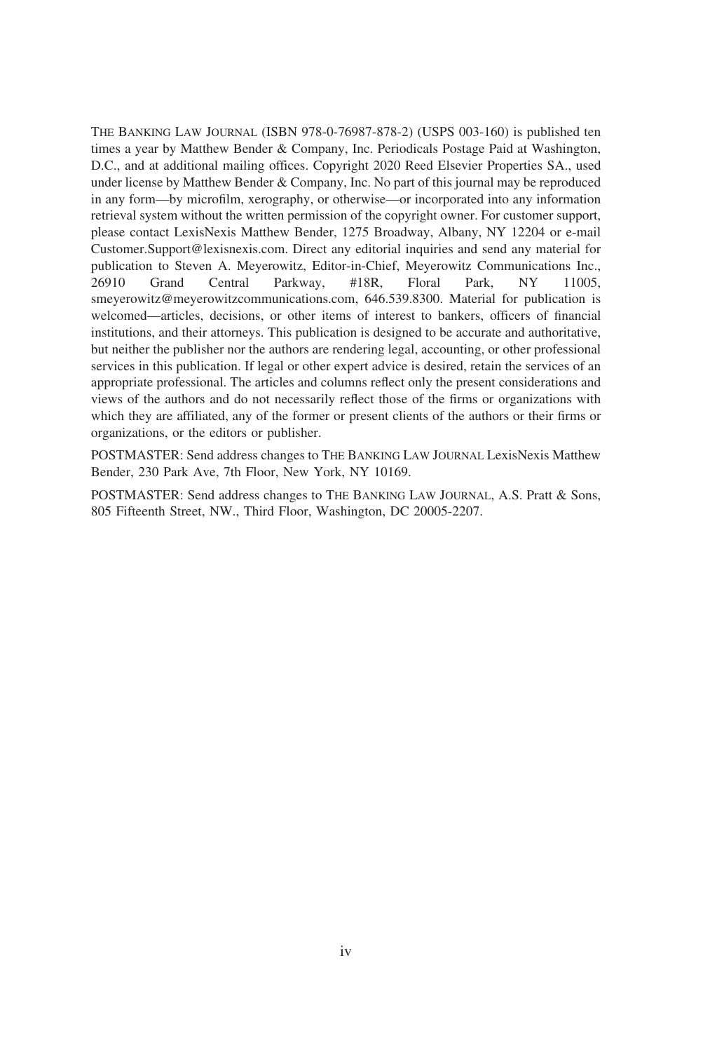THE BANKING LAW JOURNAL (ISBN 978-0-76987-878-2) (USPS 003-160) is published ten times a year by Matthew Bender & Company, Inc. Periodicals Postage Paid at Washington, D.C., and at additional mailing offices. Copyright 2020 Reed Elsevier Properties SA., used under license by Matthew Bender & Company, Inc. No part of this journal may be reproduced in any form—by microfilm, xerography, or otherwise—or incorporated into any information retrieval system without the written permission of the copyright owner. For customer support, please contact LexisNexis Matthew Bender, 1275 Broadway, Albany, NY 12204 or e-mail Customer.Support@lexisnexis.com. Direct any editorial inquiries and send any material for publication to Steven A. Meyerowitz, Editor-in-Chief, Meyerowitz Communications Inc., 26910 Grand Central Parkway, #18R, Floral Park, NY 11005, smeyerowitz@meyerowitzcommunications.com, 646.539.8300. Material for publication is welcomed—articles, decisions, or other items of interest to bankers, officers of financial institutions, and their attorneys. This publication is designed to be accurate and authoritative, but neither the publisher nor the authors are rendering legal, accounting, or other professional services in this publication. If legal or other expert advice is desired, retain the services of an appropriate professional. The articles and columns reflect only the present considerations and views of the authors and do not necessarily reflect those of the firms or organizations with which they are affiliated, any of the former or present clients of the authors or their firms or organizations, or the editors or publisher.

POSTMASTER: Send address changes to THE BANKING LAW JOURNAL LexisNexis Matthew Bender, 230 Park Ave, 7th Floor, New York, NY 10169.

POSTMASTER: Send address changes to THE BANKING LAW JOURNAL, A.S. Pratt & Sons, 805 Fifteenth Street, NW., Third Floor, Washington, DC 20005-2207.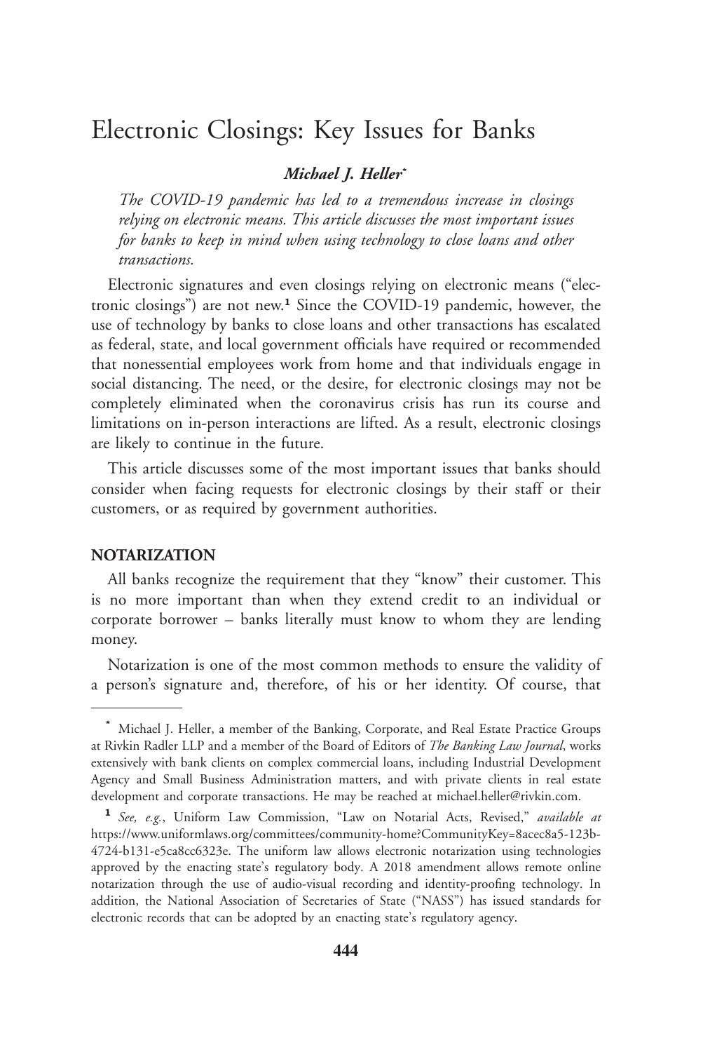## Electronic Closings: Key Issues for Banks

## *Michael J. Heller***\***

*The COVID-19 pandemic has led to a tremendous increase in closings relying on electronic means. This article discusses the most important issues for banks to keep in mind when using technology to close loans and other transactions.*

Electronic signatures and even closings relying on electronic means ("electronic closings") are not new.**<sup>1</sup>** Since the COVID-19 pandemic, however, the use of technology by banks to close loans and other transactions has escalated as federal, state, and local government officials have required or recommended that nonessential employees work from home and that individuals engage in social distancing. The need, or the desire, for electronic closings may not be completely eliminated when the coronavirus crisis has run its course and limitations on in-person interactions are lifted. As a result, electronic closings are likely to continue in the future.

This article discusses some of the most important issues that banks should consider when facing requests for electronic closings by their staff or their customers, or as required by government authorities.

## **NOTARIZATION**

All banks recognize the requirement that they "know" their customer. This is no more important than when they extend credit to an individual or corporate borrower – banks literally must know to whom they are lending money.

Notarization is one of the most common methods to ensure the validity of a person's signature and, therefore, of his or her identity. Of course, that

**<sup>\*</sup>** Michael J. Heller, a member of the Banking, Corporate, and Real Estate Practice Groups at Rivkin Radler LLP and a member of the Board of Editors of *The Banking Law Journal*, works extensively with bank clients on complex commercial loans, including Industrial Development Agency and Small Business Administration matters, and with private clients in real estate development and corporate transactions. He may be reached at michael.heller@rivkin.com.

**<sup>1</sup>** *See, e.g.*, Uniform Law Commission, "Law on Notarial Acts, Revised," *available at* https://www.uniformlaws.org/committees/community-home?CommunityKey=8acec8a5-123b-4724-b131-e5ca8cc6323e. The uniform law allows electronic notarization using technologies approved by the enacting state's regulatory body. A 2018 amendment allows remote online notarization through the use of audio-visual recording and identity-proofing technology. In addition, the National Association of Secretaries of State ("NASS") has issued standards for electronic records that can be adopted by an enacting state's regulatory agency.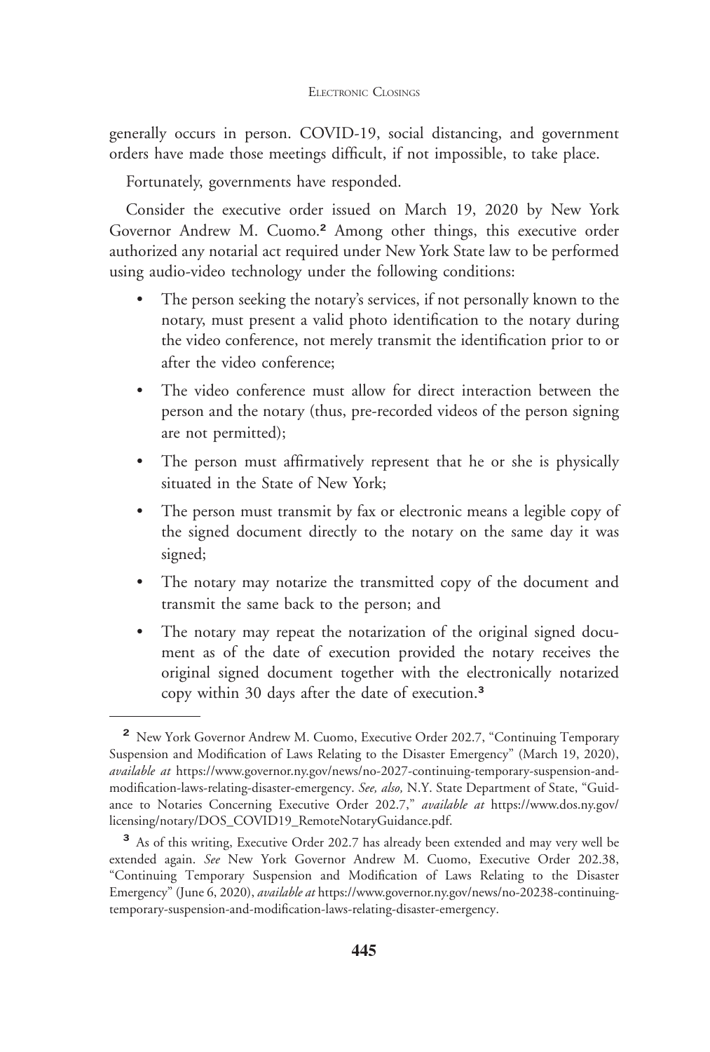generally occurs in person. COVID-19, social distancing, and government orders have made those meetings difficult, if not impossible, to take place.

Fortunately, governments have responded.

Consider the executive order issued on March 19, 2020 by New York Governor Andrew M. Cuomo.**<sup>2</sup>** Among other things, this executive order authorized any notarial act required under New York State law to be performed using audio-video technology under the following conditions:

- The person seeking the notary's services, if not personally known to the notary, must present a valid photo identification to the notary during the video conference, not merely transmit the identification prior to or after the video conference;
- The video conference must allow for direct interaction between the person and the notary (thus, pre-recorded videos of the person signing are not permitted);
- The person must affirmatively represent that he or she is physically situated in the State of New York;
- The person must transmit by fax or electronic means a legible copy of the signed document directly to the notary on the same day it was signed;
- The notary may notarize the transmitted copy of the document and transmit the same back to the person; and
- The notary may repeat the notarization of the original signed document as of the date of execution provided the notary receives the original signed document together with the electronically notarized copy within 30 days after the date of execution.**<sup>3</sup>**

**<sup>2</sup>** New York Governor Andrew M. Cuomo, Executive Order 202.7, "Continuing Temporary Suspension and Modification of Laws Relating to the Disaster Emergency" (March 19, 2020), *available at* https://www.governor.ny.gov/news/no-2027-continuing-temporary-suspension-andmodification-laws-relating-disaster-emergency. *See, also,* N.Y. State Department of State, "Guidance to Notaries Concerning Executive Order 202.7," *available at* https://www.dos.ny.gov/ licensing/notary/DOS\_COVID19\_RemoteNotaryGuidance.pdf.

**<sup>3</sup>** As of this writing, Executive Order 202.7 has already been extended and may very well be extended again. *See* New York Governor Andrew M. Cuomo, Executive Order 202.38, "Continuing Temporary Suspension and Modification of Laws Relating to the Disaster Emergency" (June 6, 2020), *available at* https://www.governor.ny.gov/news/no-20238-continuingtemporary-suspension-and-modification-laws-relating-disaster-emergency.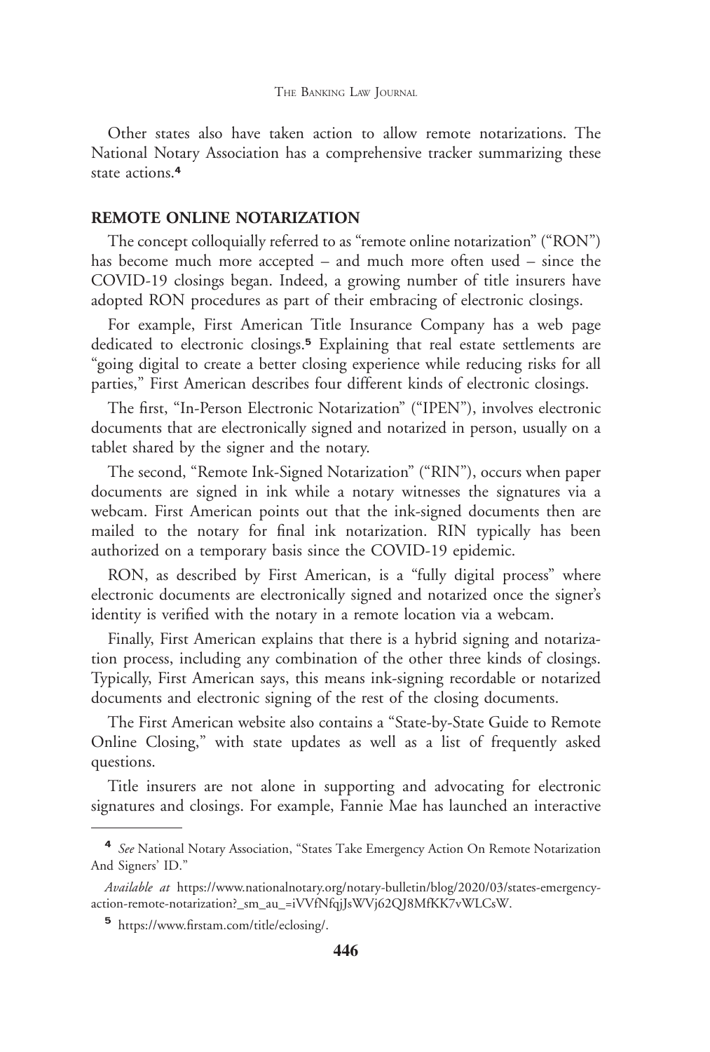Other states also have taken action to allow remote notarizations. The National Notary Association has a comprehensive tracker summarizing these state actions.**<sup>4</sup>**

## **REMOTE ONLINE NOTARIZATION**

The concept colloquially referred to as "remote online notarization" ("RON") has become much more accepted – and much more often used – since the COVID-19 closings began. Indeed, a growing number of title insurers have adopted RON procedures as part of their embracing of electronic closings.

For example, First American Title Insurance Company has a web page dedicated to electronic closings.**<sup>5</sup>** Explaining that real estate settlements are "going digital to create a better closing experience while reducing risks for all parties," First American describes four different kinds of electronic closings.

The first, "In-Person Electronic Notarization" ("IPEN"), involves electronic documents that are electronically signed and notarized in person, usually on a tablet shared by the signer and the notary.

The second, "Remote Ink-Signed Notarization" ("RIN"), occurs when paper documents are signed in ink while a notary witnesses the signatures via a webcam. First American points out that the ink-signed documents then are mailed to the notary for final ink notarization. RIN typically has been authorized on a temporary basis since the COVID-19 epidemic.

RON, as described by First American, is a "fully digital process" where electronic documents are electronically signed and notarized once the signer's identity is verified with the notary in a remote location via a webcam.

Finally, First American explains that there is a hybrid signing and notarization process, including any combination of the other three kinds of closings. Typically, First American says, this means ink-signing recordable or notarized documents and electronic signing of the rest of the closing documents.

The First American website also contains a "State-by-State Guide to Remote Online Closing," with state updates as well as a list of frequently asked questions.

Title insurers are not alone in supporting and advocating for electronic signatures and closings. For example, Fannie Mae has launched an interactive

**<sup>4</sup>** *See* National Notary Association, "States Take Emergency Action On Remote Notarization And Signers' ID."

*Available at* https://www.nationalnotary.org/notary-bulletin/blog/2020/03/states-emergencyaction-remote-notarization?\_sm\_au\_=iVVfNfqjJsWVj62QJ8MfKK7vWLCsW.

**<sup>5</sup>** https://www.firstam.com/title/eclosing/.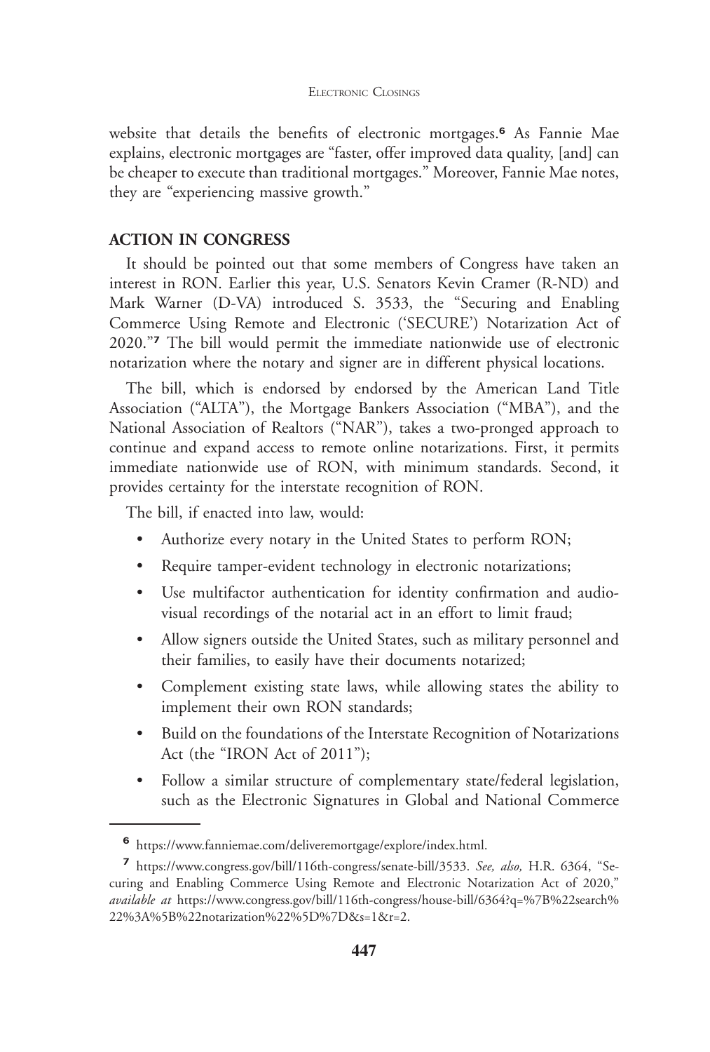### ELECTRONIC CLOSINGS

website that details the benefits of electronic mortgages.**<sup>6</sup>** As Fannie Mae explains, electronic mortgages are "faster, offer improved data quality, [and] can be cheaper to execute than traditional mortgages." Moreover, Fannie Mae notes, they are "experiencing massive growth."

## **ACTION IN CONGRESS**

It should be pointed out that some members of Congress have taken an interest in RON. Earlier this year, U.S. Senators Kevin Cramer (R-ND) and Mark Warner (D-VA) introduced S. 3533, the "Securing and Enabling Commerce Using Remote and Electronic ('SECURE') Notarization Act of 2020."**<sup>7</sup>** The bill would permit the immediate nationwide use of electronic notarization where the notary and signer are in different physical locations.

The bill, which is endorsed by endorsed by the American Land Title Association ("ALTA"), the Mortgage Bankers Association ("MBA"), and the National Association of Realtors ("NAR"), takes a two-pronged approach to continue and expand access to remote online notarizations. First, it permits immediate nationwide use of RON, with minimum standards. Second, it provides certainty for the interstate recognition of RON.

The bill, if enacted into law, would:

- Authorize every notary in the United States to perform RON;
- Require tamper-evident technology in electronic notarizations;
- Use multifactor authentication for identity confirmation and audiovisual recordings of the notarial act in an effort to limit fraud;
- Allow signers outside the United States, such as military personnel and their families, to easily have their documents notarized;
- Complement existing state laws, while allowing states the ability to implement their own RON standards;
- Build on the foundations of the Interstate Recognition of Notarizations Act (the "IRON Act of 2011");
- Follow a similar structure of complementary state/federal legislation, such as the Electronic Signatures in Global and National Commerce

**<sup>6</sup>** https://www.fanniemae.com/deliveremortgage/explore/index.html.

**<sup>7</sup>** https://www.congress.gov/bill/116th-congress/senate-bill/3533. *See, also,* H.R. 6364, "Securing and Enabling Commerce Using Remote and Electronic Notarization Act of 2020," *available at* https://www.congress.gov/bill/116th-congress/house-bill/6364?q=%7B%22search% 22%3A%5B%22notarization%22%5D%7D&s=1&r=2.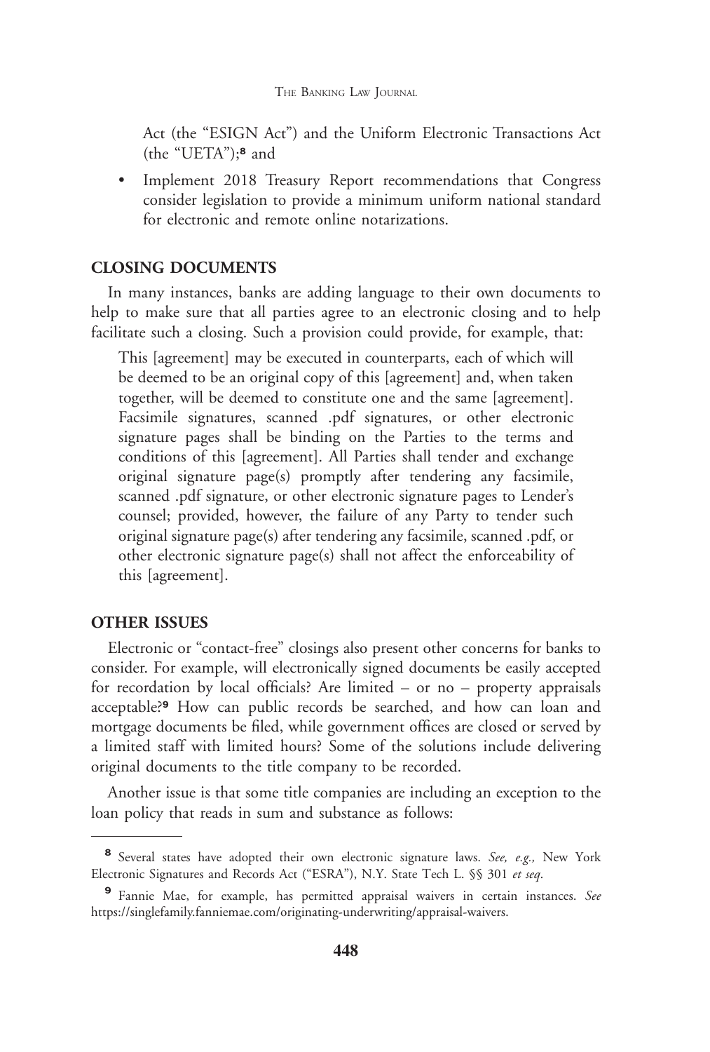#### THE BANKING LAW JOURNAL

Act (the "ESIGN Act") and the Uniform Electronic Transactions Act (the "UETA");**<sup>8</sup>** and

• Implement 2018 Treasury Report recommendations that Congress consider legislation to provide a minimum uniform national standard for electronic and remote online notarizations.

## **CLOSING DOCUMENTS**

In many instances, banks are adding language to their own documents to help to make sure that all parties agree to an electronic closing and to help facilitate such a closing. Such a provision could provide, for example, that:

This [agreement] may be executed in counterparts, each of which will be deemed to be an original copy of this [agreement] and, when taken together, will be deemed to constitute one and the same [agreement]. Facsimile signatures, scanned .pdf signatures, or other electronic signature pages shall be binding on the Parties to the terms and conditions of this [agreement]. All Parties shall tender and exchange original signature page(s) promptly after tendering any facsimile, scanned .pdf signature, or other electronic signature pages to Lender's counsel; provided, however, the failure of any Party to tender such original signature page(s) after tendering any facsimile, scanned .pdf, or other electronic signature page(s) shall not affect the enforceability of this [agreement].

## **OTHER ISSUES**

Electronic or "contact-free" closings also present other concerns for banks to consider. For example, will electronically signed documents be easily accepted for recordation by local officials? Are limited – or no – property appraisals acceptable?**<sup>9</sup>** How can public records be searched, and how can loan and mortgage documents be filed, while government offices are closed or served by a limited staff with limited hours? Some of the solutions include delivering original documents to the title company to be recorded.

Another issue is that some title companies are including an exception to the loan policy that reads in sum and substance as follows:

**<sup>8</sup>** Several states have adopted their own electronic signature laws. *See, e.g.,* New York Electronic Signatures and Records Act ("ESRA"), N.Y. State Tech L. §§ 301 *et seq*.

**<sup>9</sup>** Fannie Mae, for example, has permitted appraisal waivers in certain instances. *See* https://singlefamily.fanniemae.com/originating-underwriting/appraisal-waivers.